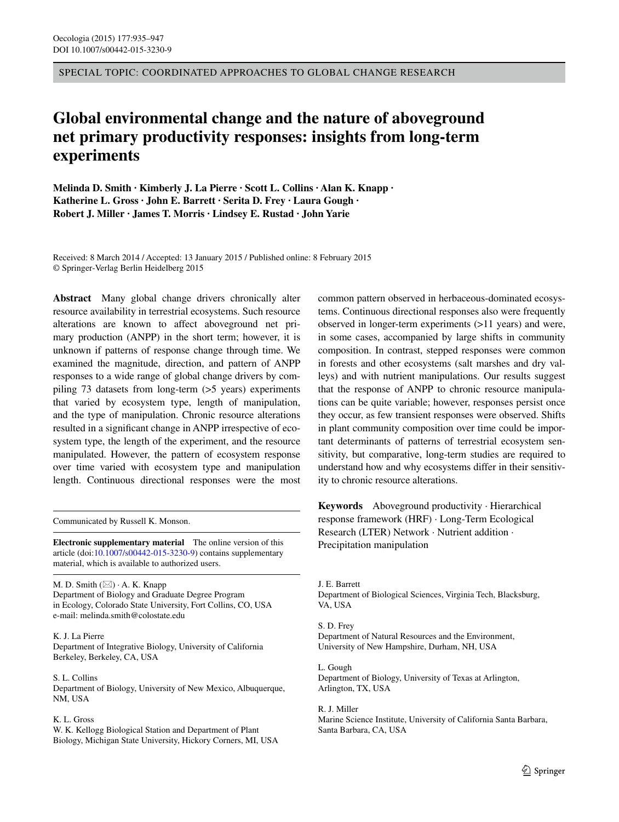SPECIAL TOPIC: COORDINATED APPROACHES TO GLOBAL CHANGE RESEARCH

# **Global environmental change and the nature of aboveground net primary productivity responses: insights from long‑term experiments**

**Melinda D. Smith · Kimberly J. La Pierre · Scott L. Collins · Alan K. Knapp · Katherine L. Gross · John E. Barrett · Serita D. Frey · Laura Gough · Robert J. Miller · James T. Morris · Lindsey E. Rustad · John Yarie**

Received: 8 March 2014 / Accepted: 13 January 2015 / Published online: 8 February 2015 © Springer-Verlag Berlin Heidelberg 2015

**Abstract** Many global change drivers chronically alter resource availability in terrestrial ecosystems. Such resource alterations are known to affect aboveground net primary production (ANPP) in the short term; however, it is unknown if patterns of response change through time. We examined the magnitude, direction, and pattern of ANPP responses to a wide range of global change drivers by compiling 73 datasets from long-term (>5 years) experiments that varied by ecosystem type, length of manipulation, and the type of manipulation. Chronic resource alterations resulted in a significant change in ANPP irrespective of ecosystem type, the length of the experiment, and the resource manipulated. However, the pattern of ecosystem response over time varied with ecosystem type and manipulation length. Continuous directional responses were the most

Communicated by Russell K. Monson.

**Electronic supplementary material** The online version of this article (doi[:10.1007/s00442-015-3230-9](http://dx.doi.org/10.1007/s00442-015-3230-9)) contains supplementary material, which is available to authorized users.

M. D. Smith  $(\boxtimes) \cdot A$ . K. Knapp Department of Biology and Graduate Degree Program in Ecology, Colorado State University, Fort Collins, CO, USA e-mail: melinda.smith@colostate.edu

#### K. J. La Pierre

Department of Integrative Biology, University of California Berkeley, Berkeley, CA, USA

S. L. Collins Department of Biology, University of New Mexico, Albuquerque, NM, USA

#### K. L. Gross

W. K. Kellogg Biological Station and Department of Plant Biology, Michigan State University, Hickory Corners, MI, USA common pattern observed in herbaceous-dominated ecosystems. Continuous directional responses also were frequently observed in longer-term experiments (>11 years) and were, in some cases, accompanied by large shifts in community composition. In contrast, stepped responses were common in forests and other ecosystems (salt marshes and dry valleys) and with nutrient manipulations. Our results suggest that the response of ANPP to chronic resource manipulations can be quite variable; however, responses persist once they occur, as few transient responses were observed. Shifts in plant community composition over time could be important determinants of patterns of terrestrial ecosystem sensitivity, but comparative, long-term studies are required to understand how and why ecosystems differ in their sensitivity to chronic resource alterations.

**Keywords** Aboveground productivity · Hierarchical response framework (HRF) · Long-Term Ecological Research (LTER) Network · Nutrient addition · Precipitation manipulation

J. E. Barrett Department of Biological Sciences, Virginia Tech, Blacksburg, VA, USA

# S. D. Frey

Department of Natural Resources and the Environment, University of New Hampshire, Durham, NH, USA

L. Gough Department of Biology, University of Texas at Arlington, Arlington, TX, USA

R. J. Miller Marine Science Institute, University of California Santa Barbara, Santa Barbara, CA, USA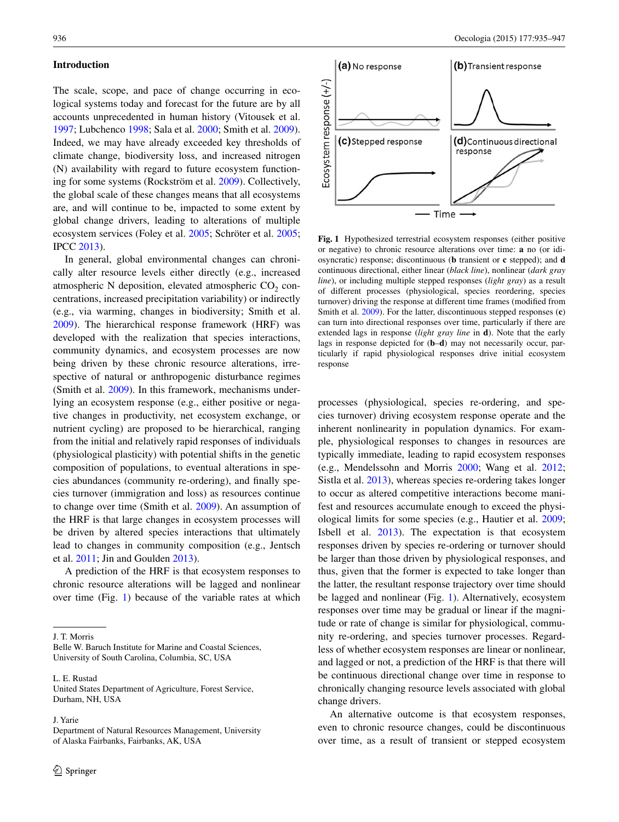### **Introduction**

The scale, scope, and pace of change occurring in ecological systems today and forecast for the future are by all accounts unprecedented in human history (Vitousek et al. [1997](#page-12-0); Lubchenco [1998](#page-11-0); Sala et al. [2000;](#page-12-1) Smith et al. [2009](#page-12-2)). Indeed, we may have already exceeded key thresholds of climate change, biodiversity loss, and increased nitrogen (N) availability with regard to future ecosystem functioning for some systems (Rockström et al. [2009](#page-12-3)). Collectively, the global scale of these changes means that all ecosystems are, and will continue to be, impacted to some extent by global change drivers, leading to alterations of multiple ecosystem services (Foley et al. [2005;](#page-10-0) Schröter et al. [2005](#page-12-4); IPCC [2013\)](#page-11-1).

In general, global environmental changes can chronically alter resource levels either directly (e.g., increased atmospheric N deposition, elevated atmospheric  $CO<sub>2</sub>$  concentrations, increased precipitation variability) or indirectly (e.g., via warming, changes in biodiversity; Smith et al. [2009](#page-12-2)). The hierarchical response framework (HRF) was developed with the realization that species interactions, community dynamics, and ecosystem processes are now being driven by these chronic resource alterations, irrespective of natural or anthropogenic disturbance regimes (Smith et al. [2009](#page-12-2)). In this framework, mechanisms underlying an ecosystem response (e.g., either positive or negative changes in productivity, net ecosystem exchange, or nutrient cycling) are proposed to be hierarchical, ranging from the initial and relatively rapid responses of individuals (physiological plasticity) with potential shifts in the genetic composition of populations, to eventual alterations in species abundances (community re-ordering), and finally species turnover (immigration and loss) as resources continue to change over time (Smith et al. [2009](#page-12-2)). An assumption of the HRF is that large changes in ecosystem processes will be driven by altered species interactions that ultimately lead to changes in community composition (e.g., Jentsch et al. [2011;](#page-11-2) Jin and Goulden [2013](#page-11-3)).

A prediction of the HRF is that ecosystem responses to chronic resource alterations will be lagged and nonlinear over time (Fig. [1\)](#page-1-0) because of the variable rates at which

L. E. Rustad

J. Yarie



<span id="page-1-0"></span>**Fig. 1** Hypothesized terrestrial ecosystem responses (either positive or negative) to chronic resource alterations over time: **a** no (or idiosyncratic) response; discontinuous (**b** transient or **c** stepped); and **d** continuous directional, either linear (*black line*), nonlinear (*dark gray line*), or including multiple stepped responses (*light gray*) as a result of different processes (physiological, species reordering, species turnover) driving the response at different time frames (modified from Smith et al. [2009](#page-12-2)). For the latter, discontinuous stepped responses (**c**) can turn into directional responses over time, particularly if there are extended lags in response (*light gray line* in **d**). Note that the early lags in response depicted for (**b**–**d**) may not necessarily occur, particularly if rapid physiological responses drive initial ecosystem response

processes (physiological, species re-ordering, and species turnover) driving ecosystem response operate and the inherent nonlinearity in population dynamics. For example, physiological responses to changes in resources are typically immediate, leading to rapid ecosystem responses (e.g., Mendelssohn and Morris [2000](#page-11-4); Wang et al. [2012](#page-12-5); Sistla et al. [2013\)](#page-12-6), whereas species re-ordering takes longer to occur as altered competitive interactions become manifest and resources accumulate enough to exceed the physiological limits for some species (e.g., Hautier et al. [2009](#page-11-5); Isbell et al. [2013](#page-11-6)). The expectation is that ecosystem responses driven by species re-ordering or turnover should be larger than those driven by physiological responses, and thus, given that the former is expected to take longer than the latter, the resultant response trajectory over time should be lagged and nonlinear (Fig. [1](#page-1-0)). Alternatively, ecosystem responses over time may be gradual or linear if the magnitude or rate of change is similar for physiological, community re-ordering, and species turnover processes. Regardless of whether ecosystem responses are linear or nonlinear, and lagged or not, a prediction of the HRF is that there will be continuous directional change over time in response to chronically changing resource levels associated with global change drivers.

An alternative outcome is that ecosystem responses, even to chronic resource changes, could be discontinuous over time, as a result of transient or stepped ecosystem

J. T. Morris

Belle W. Baruch Institute for Marine and Coastal Sciences, University of South Carolina, Columbia, SC, USA

United States Department of Agriculture, Forest Service, Durham, NH, USA

Department of Natural Resources Management, University of Alaska Fairbanks, Fairbanks, AK, USA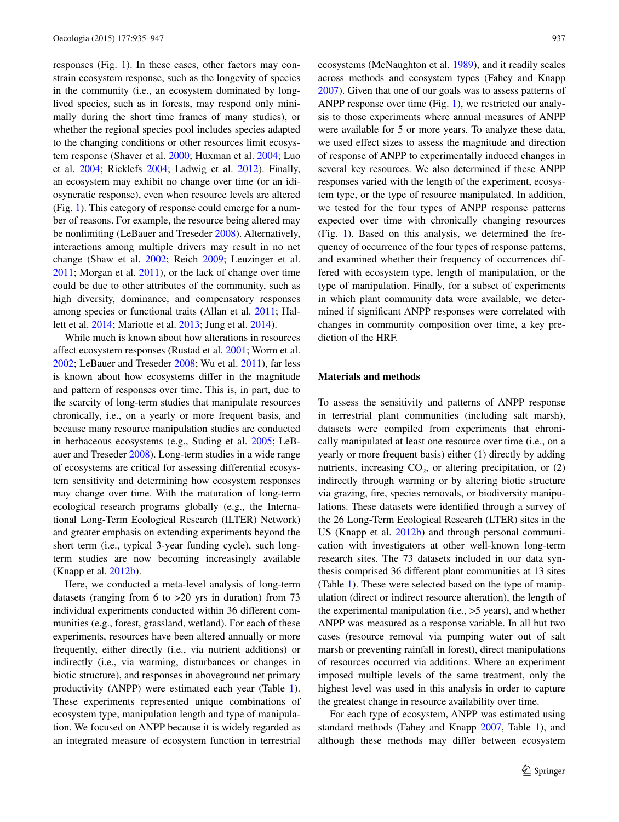responses (Fig. [1\)](#page-1-0). In these cases, other factors may constrain ecosystem response, such as the longevity of species in the community (i.e., an ecosystem dominated by longlived species, such as in forests, may respond only minimally during the short time frames of many studies), or whether the regional species pool includes species adapted to the changing conditions or other resources limit ecosystem response (Shaver et al. [2000](#page-12-7); Huxman et al. [2004;](#page-11-7) Luo et al. [2004;](#page-11-8) Ricklefs [2004](#page-12-8); Ladwig et al. [2012\)](#page-11-9). Finally, an ecosystem may exhibit no change over time (or an idiosyncratic response), even when resource levels are altered (Fig. [1\)](#page-1-0). This category of response could emerge for a number of reasons. For example, the resource being altered may be nonlimiting (LeBauer and Treseder [2008\)](#page-11-10). Alternatively, interactions among multiple drivers may result in no net change (Shaw et al. [2002;](#page-12-9) Reich [2009](#page-12-10); Leuzinger et al. [2011](#page-11-11); Morgan et al. [2011\)](#page-11-12), or the lack of change over time could be due to other attributes of the community, such as high diversity, dominance, and compensatory responses among species or functional traits (Allan et al. [2011](#page-10-1); Hallett et al. [2014](#page-11-13); Mariotte et al. [2013](#page-11-14); Jung et al. [2014](#page-11-15)).

While much is known about how alterations in resources affect ecosystem responses (Rustad et al. [2001](#page-12-11); Worm et al. [2002](#page-12-12); LeBauer and Treseder [2008;](#page-11-10) Wu et al. [2011\)](#page-12-13), far less is known about how ecosystems differ in the magnitude and pattern of responses over time. This is, in part, due to the scarcity of long-term studies that manipulate resources chronically, i.e., on a yearly or more frequent basis, and because many resource manipulation studies are conducted in herbaceous ecosystems (e.g., Suding et al. [2005;](#page-12-14) LeBauer and Treseder [2008](#page-11-10)). Long-term studies in a wide range of ecosystems are critical for assessing differential ecosystem sensitivity and determining how ecosystem responses may change over time. With the maturation of long-term ecological research programs globally (e.g., the International Long-Term Ecological Research (ILTER) Network) and greater emphasis on extending experiments beyond the short term (i.e., typical 3-year funding cycle), such longterm studies are now becoming increasingly available (Knapp et al. [2012b](#page-11-16)).

Here, we conducted a meta-level analysis of long-term datasets (ranging from 6 to >20 yrs in duration) from 73 individual experiments conducted within 36 different communities (e.g., forest, grassland, wetland). For each of these experiments, resources have been altered annually or more frequently, either directly (i.e., via nutrient additions) or indirectly (i.e., via warming, disturbances or changes in biotic structure), and responses in aboveground net primary productivity (ANPP) were estimated each year (Table [1](#page-3-0)). These experiments represented unique combinations of ecosystem type, manipulation length and type of manipulation. We focused on ANPP because it is widely regarded as an integrated measure of ecosystem function in terrestrial ecosystems (McNaughton et al. [1989\)](#page-11-17), and it readily scales across methods and ecosystem types (Fahey and Knapp [2007](#page-10-2)). Given that one of our goals was to assess patterns of ANPP response over time (Fig. [1](#page-1-0)), we restricted our analysis to those experiments where annual measures of ANPP were available for 5 or more years. To analyze these data, we used effect sizes to assess the magnitude and direction of response of ANPP to experimentally induced changes in several key resources. We also determined if these ANPP responses varied with the length of the experiment, ecosystem type, or the type of resource manipulated. In addition, we tested for the four types of ANPP response patterns expected over time with chronically changing resources (Fig. [1\)](#page-1-0). Based on this analysis, we determined the frequency of occurrence of the four types of response patterns, and examined whether their frequency of occurrences differed with ecosystem type, length of manipulation, or the type of manipulation. Finally, for a subset of experiments in which plant community data were available, we determined if significant ANPP responses were correlated with changes in community composition over time, a key prediction of the HRF.

#### **Materials and methods**

To assess the sensitivity and patterns of ANPP response in terrestrial plant communities (including salt marsh), datasets were compiled from experiments that chronically manipulated at least one resource over time (i.e., on a yearly or more frequent basis) either (1) directly by adding nutrients, increasing  $CO<sub>2</sub>$ , or altering precipitation, or (2) indirectly through warming or by altering biotic structure via grazing, fire, species removals, or biodiversity manipulations. These datasets were identified through a survey of the 26 Long-Term Ecological Research (LTER) sites in the US (Knapp et al. [2012b\)](#page-11-16) and through personal communication with investigators at other well-known long-term research sites. The 73 datasets included in our data synthesis comprised 36 different plant communities at 13 sites (Table [1](#page-3-0)). These were selected based on the type of manipulation (direct or indirect resource alteration), the length of the experimental manipulation (i.e., >5 years), and whether ANPP was measured as a response variable. In all but two cases (resource removal via pumping water out of salt marsh or preventing rainfall in forest), direct manipulations of resources occurred via additions. Where an experiment imposed multiple levels of the same treatment, only the highest level was used in this analysis in order to capture the greatest change in resource availability over time.

For each type of ecosystem, ANPP was estimated using standard methods (Fahey and Knapp [2007,](#page-10-2) Table [1\)](#page-3-0), and although these methods may differ between ecosystem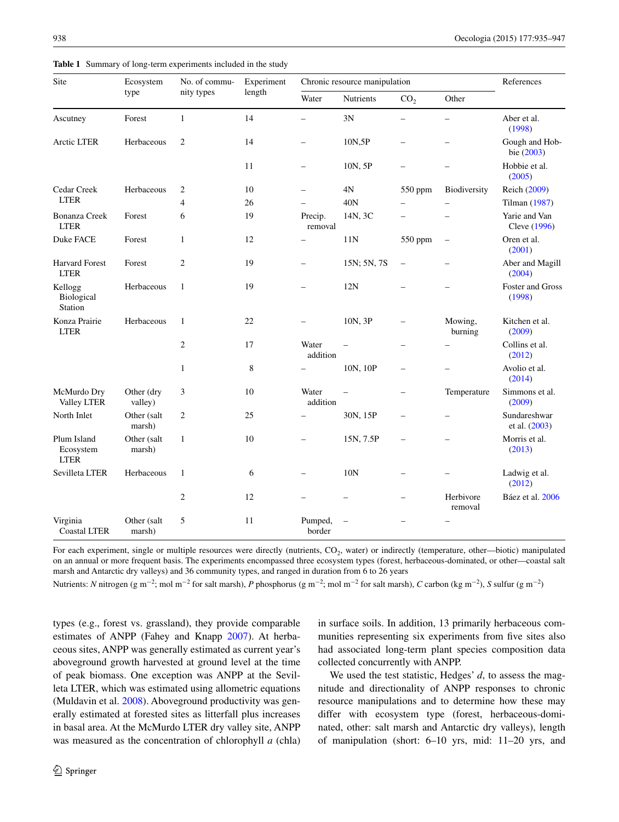| Site                                    | Ecosystem<br>type     | No. of commu-<br>nity types | Experiment<br>length | Chronic resource manipulation |                 |                          |                      | References                    |
|-----------------------------------------|-----------------------|-----------------------------|----------------------|-------------------------------|-----------------|--------------------------|----------------------|-------------------------------|
|                                         |                       |                             |                      | Water                         | Nutrients       | CO <sub>2</sub>          | Other                |                               |
| Ascutney                                | Forest                | $\mathbf{1}$                | 14                   |                               | 3N              |                          |                      | Aber et al.<br>(1998)         |
| Arctic LTER                             | Herbaceous            | $\overline{2}$              | 14                   |                               | 10N,5P          |                          |                      | Gough and Hob-<br>bie (2003)  |
|                                         |                       |                             | 11                   |                               | 10N, 5P         |                          |                      | Hobbie et al.<br>(2005)       |
| Cedar Creek<br><b>LTER</b>              | Herbaceous            | 2                           | 10                   |                               | 4N              | 550 ppm                  | Biodiversity         | Reich (2009)                  |
|                                         |                       | $\overline{4}$              | 26                   |                               | 40N             |                          |                      | Tilman (1987)                 |
| <b>Bonanza Creek</b><br><b>LTER</b>     | Forest                | 6                           | 19                   | Precip.<br>removal            | 14N, 3C         |                          |                      | Yarie and Van<br>Cleve (1996) |
| Duke FACE                               | Forest                | $\mathbf{1}$                | 12                   |                               | 11N             | 550 ppm                  |                      | Oren et al.<br>(2001)         |
| <b>Harvard Forest</b><br><b>LTER</b>    | Forest                | $\overline{c}$              | 19                   |                               | 15N; 5N, 7S     |                          |                      | Aber and Magill<br>(2004)     |
| Kellogg<br>Biological<br>Station        | Herbaceous            | $\mathbf{1}$                | 19                   |                               | 12N             |                          |                      | Foster and Gross<br>(1998)    |
| Konza Prairie<br><b>LTER</b>            | Herbaceous            | $\mathbf{1}$                | 22                   |                               | 10N, 3P         |                          | Mowing,<br>burning   | Kitchen et al.<br>(2009)      |
|                                         |                       | $\overline{c}$              | 17                   | Water<br>addition             |                 |                          |                      | Collins et al.<br>(2012)      |
|                                         |                       | $\mathbf{1}$                | 8                    |                               | 10N, 10P        |                          |                      | Avolio et al.<br>(2014)       |
| McMurdo Dry<br>Valley LTER              | Other (dry<br>valley) | 3                           | 10                   | Water<br>addition             |                 |                          | Temperature          | Simmons et al.<br>(2009)      |
| North Inlet                             | Other (salt<br>marsh) | $\overline{c}$              | 25                   |                               | 30N, 15P        | $\overline{\phantom{0}}$ |                      | Sundareshwar<br>et al. (2003) |
| Plum Island<br>Ecosystem<br><b>LTER</b> | Other (salt<br>marsh) | $\mathbf{1}$                | 10                   |                               | 15N, 7.5P       | $\overline{\phantom{0}}$ |                      | Morris et al.<br>(2013)       |
| Sevilleta LTER                          | Herbaceous            | 1                           | 6                    |                               | 10 <sub>N</sub> |                          |                      | Ladwig et al.<br>(2012)       |
|                                         |                       | $\overline{c}$              | 12                   |                               |                 |                          | Herbivore<br>removal | Báez et al. 2006              |
| Virginia                                | Other (salt           | 5                           | 11                   | Pumped,                       |                 |                          |                      |                               |

<span id="page-3-0"></span>**Table 1** Summary of long-term experiments included in the study

For each experiment, single or multiple resources were directly (nutrients, CO<sub>2</sub>, water) or indirectly (temperature, other—biotic) manipulated on an annual or more frequent basis. The experiments encompassed three ecosystem types (forest, herbaceous-dominated, or other—coastal salt marsh and Antarctic dry valleys) and 36 community types, and ranged in duration from 6 to 26 years

border

Nutrients: *N* nitrogen (g m<sup>−2</sup>; mol m<sup>−2</sup> for salt marsh), *P* phosphorus (g m<sup>−2</sup>; mol m<sup>−2</sup> for salt marsh), *C* carbon (kg m<sup>−2</sup>), *S* sulfur (g m<sup>−2</sup>)

types (e.g., forest vs. grassland), they provide comparable estimates of ANPP (Fahey and Knapp [2007\)](#page-10-2). At herbaceous sites, ANPP was generally estimated as current year's aboveground growth harvested at ground level at the time of peak biomass. One exception was ANPP at the Sevilleta LTER, which was estimated using allometric equations (Muldavin et al. [2008](#page-11-18)). Aboveground productivity was generally estimated at forested sites as litterfall plus increases in basal area. At the McMurdo LTER dry valley site, ANPP was measured as the concentration of chlorophyll *a* (chla)

Coastal LTER

marsh)

in surface soils. In addition, 13 primarily herbaceous communities representing six experiments from five sites also had associated long-term plant species composition data collected concurrently with ANPP.

We used the test statistic, Hedges' *d*, to assess the magnitude and directionality of ANPP responses to chronic resource manipulations and to determine how these may differ with ecosystem type (forest, herbaceous-dominated, other: salt marsh and Antarctic dry valleys), length of manipulation (short: 6–10 yrs, mid: 11–20 yrs, and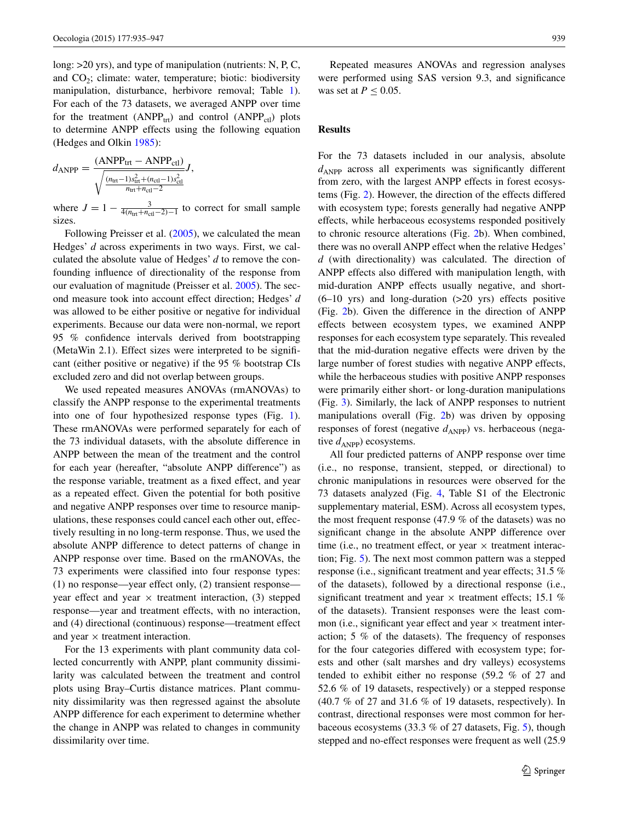long: >20 yrs), and type of manipulation (nutrients: N, P, C, and  $CO<sub>2</sub>$ ; climate: water, temperature; biotic: biodiversity manipulation, disturbance, herbivore removal; Table [1](#page-3-0)). For each of the 73 datasets, we averaged ANPP over time for the treatment (ANPP<sub>trt</sub>) and control (ANPP<sub>ctl</sub>) plots to determine ANPP effects using the following equation (Hedges and Olkin [1985](#page-11-23)):

$$
d_{\text{ANPP}} = \frac{(\text{ANPP}_{\text{tr}t} - \text{ANPP}_{\text{ct}l})}{\sqrt{\frac{(n_{\text{tr}t} - 1)s_{\text{tr}t}^2 + (n_{\text{cd}t} - 1)s_{\text{ct}l}^2}{n_{\text{tr}t} + n_{\text{ct}t} - 2}}} J,
$$

where  $J = 1 - \frac{3}{4(n_{\text{tr}} + n_{\text{cd}} - 2) - 1}$  to correct for small sample sizes.

Following Preisser et al. [\(2005](#page-11-24)), we calculated the mean Hedges' *d* across experiments in two ways. First, we calculated the absolute value of Hedges' *d* to remove the confounding influence of directionality of the response from our evaluation of magnitude (Preisser et al. [2005\)](#page-11-24). The second measure took into account effect direction; Hedges' *d* was allowed to be either positive or negative for individual experiments. Because our data were non-normal, we report 95 % confidence intervals derived from bootstrapping (MetaWin 2.1). Effect sizes were interpreted to be significant (either positive or negative) if the 95 % bootstrap CIs excluded zero and did not overlap between groups.

We used repeated measures ANOVAs (rmANOVAs) to classify the ANPP response to the experimental treatments into one of four hypothesized response types (Fig. [1](#page-1-0)). These rmANOVAs were performed separately for each of the 73 individual datasets, with the absolute difference in ANPP between the mean of the treatment and the control for each year (hereafter, "absolute ANPP difference") as the response variable, treatment as a fixed effect, and year as a repeated effect. Given the potential for both positive and negative ANPP responses over time to resource manipulations, these responses could cancel each other out, effectively resulting in no long-term response. Thus, we used the absolute ANPP difference to detect patterns of change in ANPP response over time. Based on the rmANOVAs, the 73 experiments were classified into four response types: (1) no response—year effect only, (2) transient response year effect and year  $\times$  treatment interaction, (3) stepped response—year and treatment effects, with no interaction, and (4) directional (continuous) response—treatment effect and year  $\times$  treatment interaction.

For the 13 experiments with plant community data collected concurrently with ANPP, plant community dissimilarity was calculated between the treatment and control plots using Bray–Curtis distance matrices. Plant community dissimilarity was then regressed against the absolute ANPP difference for each experiment to determine whether the change in ANPP was related to changes in community dissimilarity over time.

Repeated measures ANOVAs and regression analyses were performed using SAS version 9.3, and significance was set at  $P \leq 0.05$ .

# **Results**

For the 73 datasets included in our analysis, absolute  $d$ <sub>ANPP</sub> across all experiments was significantly different from zero, with the largest ANPP effects in forest ecosystems (Fig. [2\)](#page-5-0). However, the direction of the effects differed with ecosystem type; forests generally had negative ANPP effects, while herbaceous ecosystems responded positively to chronic resource alterations (Fig. [2b](#page-5-0)). When combined, there was no overall ANPP effect when the relative Hedges' *d* (with directionality) was calculated. The direction of ANPP effects also differed with manipulation length, with mid-duration ANPP effects usually negative, and short-  $(6-10 \text{ yrs})$  and long-duration  $(>20 \text{ yrs})$  effects positive (Fig. [2](#page-5-0)b). Given the difference in the direction of ANPP effects between ecosystem types, we examined ANPP responses for each ecosystem type separately. This revealed that the mid-duration negative effects were driven by the large number of forest studies with negative ANPP effects, while the herbaceous studies with positive ANPP responses were primarily either short- or long-duration manipulations (Fig. [3\)](#page-5-1). Similarly, the lack of ANPP responses to nutrient manipulations overall (Fig. [2](#page-5-0)b) was driven by opposing responses of forest (negative  $d_{\text{ANPP}}$ ) vs. herbaceous (negative  $d_{\text{ANPP}}$ ) ecosystems.

All four predicted patterns of ANPP response over time (i.e., no response, transient, stepped, or directional) to chronic manipulations in resources were observed for the 73 datasets analyzed (Fig. [4](#page-6-0), Table S1 of the Electronic supplementary material, ESM). Across all ecosystem types, the most frequent response (47.9 % of the datasets) was no significant change in the absolute ANPP difference over time (i.e., no treatment effect, or year  $\times$  treatment interaction; Fig. [5\)](#page-7-0). The next most common pattern was a stepped response (i.e., significant treatment and year effects; 31.5 % of the datasets), followed by a directional response (i.e., significant treatment and year  $\times$  treatment effects; 15.1 % of the datasets). Transient responses were the least common (i.e., significant year effect and year  $\times$  treatment interaction; 5 % of the datasets). The frequency of responses for the four categories differed with ecosystem type; forests and other (salt marshes and dry valleys) ecosystems tended to exhibit either no response (59.2 % of 27 and 52.6 % of 19 datasets, respectively) or a stepped response (40.7 % of 27 and 31.6 % of 19 datasets, respectively). In contrast, directional responses were most common for herbaceous ecosystems (33.3 % of 27 datasets, Fig. [5\)](#page-7-0), though stepped and no-effect responses were frequent as well (25.9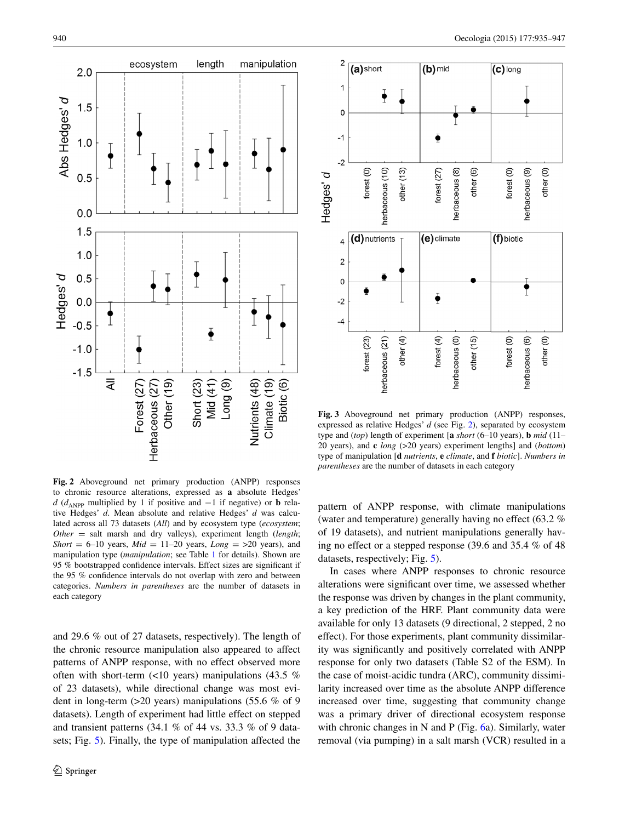

<span id="page-5-0"></span>**Fig. 2** Aboveground net primary production (ANPP) responses to chronic resource alterations, expressed as **a** absolute Hedges' *d* ( $d$ <sub>ANPP</sub> multiplied by 1 if positive and −1 if negative) or **b** relative Hedges' *d*. Mean absolute and relative Hedges' *d* was calculated across all 73 datasets (*All*) and by ecosystem type (*ecosystem*; *Other* = salt marsh and dry valleys), experiment length (*length*; *Short* = 6–10 years,  $Mid = 11-20$  years,  $Long = >20$  years), and manipulation type (*manipulation*; see Table [1](#page-3-0) for details). Shown are 95 % bootstrapped confidence intervals. Effect sizes are significant if the 95 % confidence intervals do not overlap with zero and between categories. *Numbers in parentheses* are the number of datasets in each category

and 29.6 % out of 27 datasets, respectively). The length of the chronic resource manipulation also appeared to affect patterns of ANPP response, with no effect observed more often with short-term  $(\leq 10$  years) manipulations (43.5 % of 23 datasets), while directional change was most evident in long-term (>20 years) manipulations (55.6 % of 9 datasets). Length of experiment had little effect on stepped and transient patterns (34.1 % of 44 vs. 33.3 % of 9 datasets; Fig. [5](#page-7-0)). Finally, the type of manipulation affected the



<span id="page-5-1"></span>**Fig. 3** Aboveground net primary production (ANPP) responses, expressed as relative Hedges' *d* (see Fig. [2\)](#page-5-0), separated by ecosystem type and (*top*) length of experiment [**a** *short* (6–10 years), **b** *mid* (11– 20 years), and **c** *long* (>20 years) experiment lengths] and (*bottom*) type of manipulation [**d** *nutrients*, **e** *climate*, and **f** *biotic*]. *Numbers in parentheses* are the number of datasets in each category

pattern of ANPP response, with climate manipulations (water and temperature) generally having no effect (63.2 % of 19 datasets), and nutrient manipulations generally having no effect or a stepped response (39.6 and 35.4 % of 48 datasets, respectively; Fig. [5](#page-7-0)).

In cases where ANPP responses to chronic resource alterations were significant over time, we assessed whether the response was driven by changes in the plant community, a key prediction of the HRF. Plant community data were available for only 13 datasets (9 directional, 2 stepped, 2 no effect). For those experiments, plant community dissimilarity was significantly and positively correlated with ANPP response for only two datasets (Table S2 of the ESM). In the case of moist-acidic tundra (ARC), community dissimilarity increased over time as the absolute ANPP difference increased over time, suggesting that community change was a primary driver of directional ecosystem response with chronic changes in N and P (Fig. [6](#page-8-0)a). Similarly, water removal (via pumping) in a salt marsh (VCR) resulted in a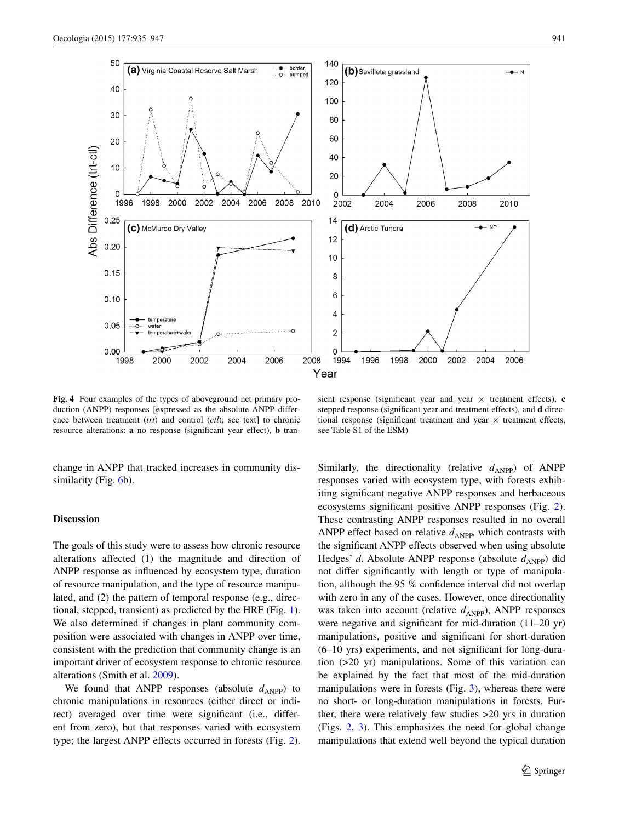

<span id="page-6-0"></span>**Fig. 4** Four examples of the types of aboveground net primary production (ANPP) responses [expressed as the absolute ANPP difference between treatment (*trt*) and control (*ctl*); see text] to chronic resource alterations: **a** no response (significant year effect), **b** tran-

sient response (significant year and year  $\times$  treatment effects), **c** stepped response (significant year and treatment effects), and **d** directional response (significant treatment and year  $\times$  treatment effects, see Table S1 of the ESM)

change in ANPP that tracked increases in community dis-similarity (Fig. [6b](#page-8-0)).

### **Discussion**

The goals of this study were to assess how chronic resource alterations affected (1) the magnitude and direction of ANPP response as influenced by ecosystem type, duration of resource manipulation, and the type of resource manipulated, and (2) the pattern of temporal response (e.g., directional, stepped, transient) as predicted by the HRF (Fig. [1](#page-1-0)). We also determined if changes in plant community composition were associated with changes in ANPP over time, consistent with the prediction that community change is an important driver of ecosystem response to chronic resource alterations (Smith et al. [2009\)](#page-12-2).

We found that ANPP responses (absolute  $d_{\text{ANPP}}$ ) to chronic manipulations in resources (either direct or indirect) averaged over time were significant (i.e., different from zero), but that responses varied with ecosystem type; the largest ANPP effects occurred in forests (Fig. [2](#page-5-0)). Similarly, the directionality (relative  $d_{ANPP}$ ) of ANPP responses varied with ecosystem type, with forests exhibiting significant negative ANPP responses and herbaceous ecosystems significant positive ANPP responses (Fig. [2](#page-5-0)). These contrasting ANPP responses resulted in no overall ANPP effect based on relative  $d_{\text{ANPP}}$ , which contrasts with the significant ANPP effects observed when using absolute Hedges' *d*. Absolute ANPP response (absolute  $d_{\text{ANPP}}$ ) did not differ significantly with length or type of manipulation, although the 95 % confidence interval did not overlap with zero in any of the cases. However, once directionality was taken into account (relative  $d_{\text{ANPP}}$ ), ANPP responses were negative and significant for mid-duration (11–20 yr) manipulations, positive and significant for short-duration (6–10 yrs) experiments, and not significant for long-duration (>20 yr) manipulations. Some of this variation can be explained by the fact that most of the mid-duration manipulations were in forests (Fig. [3\)](#page-5-1), whereas there were no short- or long-duration manipulations in forests. Further, there were relatively few studies >20 yrs in duration (Figs. [2](#page-5-0), [3\)](#page-5-1). This emphasizes the need for global change manipulations that extend well beyond the typical duration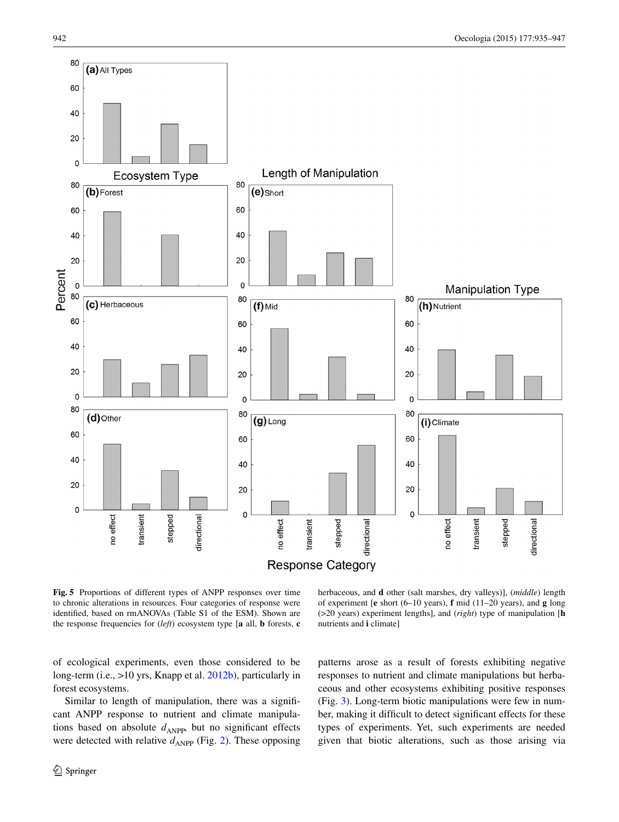

<span id="page-7-0"></span>**Fig. 5** Proportions of different types of ANPP responses over time to chronic alterations in resources. Four categories of response were identified, based on rmANOVAs (Table S1 of the ESM). Shown are the response frequencies for (*left*) ecosystem type [**a** all, **b** forests, **c**

herbaceous, and **d** other (salt marshes, dry valleys)], (*middle*) length of experiment [**e** short (6–10 years), **f** mid (11–20 years), and **g** long (>20 years) experiment lengths], and (*right*) type of manipulation [**h** nutrients and **i** climate]

of ecological experiments, even those considered to be long-term (i.e., >10 yrs, Knapp et al. [2012b\)](#page-11-16), particularly in forest ecosystems.

Similar to length of manipulation, there was a significant ANPP response to nutrient and climate manipulations based on absolute  $d_{\text{ANPP}}$ , but no significant effects were detected with relative  $d_{\text{ANPP}}$  (Fig. [2\)](#page-5-0). These opposing

<sup>2</sup> Springer

patterns arose as a result of forests exhibiting negative responses to nutrient and climate manipulations but herbaceous and other ecosystems exhibiting positive responses (Fig. [3](#page-5-1)). Long-term biotic manipulations were few in number, making it difficult to detect significant effects for these types of experiments. Yet, such experiments are needed given that biotic alterations, such as those arising via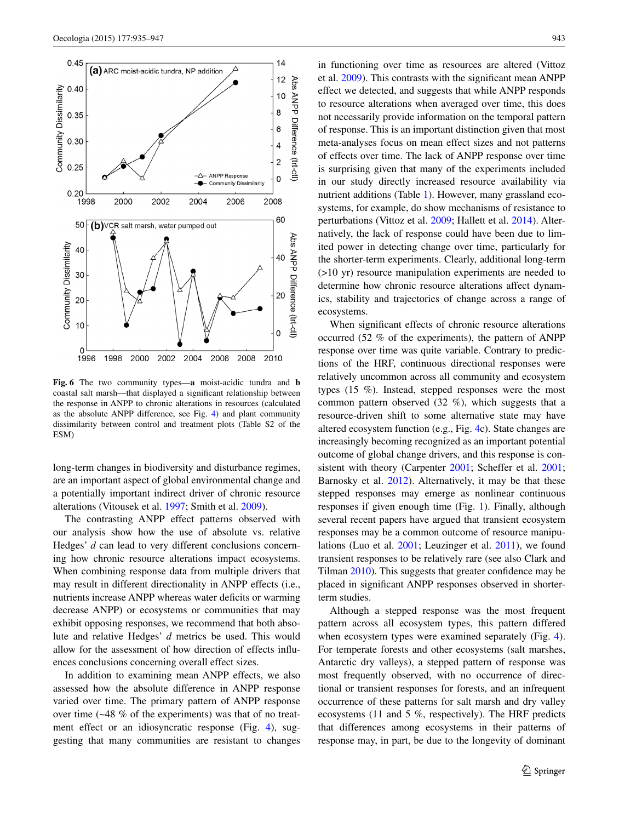

<span id="page-8-0"></span>**Fig. 6** The two community types—**a** moist-acidic tundra and **b** coastal salt marsh—that displayed a significant relationship between the response in ANPP to chronic alterations in resources (calculated as the absolute ANPP difference, see Fig. [4\)](#page-6-0) and plant community dissimilarity between control and treatment plots (Table S2 of the ESM)

long-term changes in biodiversity and disturbance regimes, are an important aspect of global environmental change and a potentially important indirect driver of chronic resource alterations (Vitousek et al. [1997](#page-12-0); Smith et al. [2009](#page-12-2)).

The contrasting ANPP effect patterns observed with our analysis show how the use of absolute vs. relative Hedges' *d* can lead to very different conclusions concerning how chronic resource alterations impact ecosystems. When combining response data from multiple drivers that may result in different directionality in ANPP effects (i.e., nutrients increase ANPP whereas water deficits or warming decrease ANPP) or ecosystems or communities that may exhibit opposing responses, we recommend that both absolute and relative Hedges' *d* metrics be used. This would allow for the assessment of how direction of effects influences conclusions concerning overall effect sizes.

In addition to examining mean ANPP effects, we also assessed how the absolute difference in ANPP response varied over time. The primary pattern of ANPP response over time (~48 % of the experiments) was that of no treat-ment effect or an idiosyncratic response (Fig. [4\)](#page-6-0), suggesting that many communities are resistant to changes in functioning over time as resources are altered (Vittoz et al. [2009](#page-12-19)). This contrasts with the significant mean ANPP effect we detected, and suggests that while ANPP responds to resource alterations when averaged over time, this does not necessarily provide information on the temporal pattern of response. This is an important distinction given that most meta-analyses focus on mean effect sizes and not patterns of effects over time. The lack of ANPP response over time is surprising given that many of the experiments included in our study directly increased resource availability via nutrient additions (Table [1](#page-3-0)). However, many grassland ecosystems, for example, do show mechanisms of resistance to perturbations (Vittoz et al. [2009;](#page-12-19) Hallett et al. [2014\)](#page-11-13). Alternatively, the lack of response could have been due to limited power in detecting change over time, particularly for the shorter-term experiments. Clearly, additional long-term (>10 yr) resource manipulation experiments are needed to determine how chronic resource alterations affect dynamics, stability and trajectories of change across a range of ecosystems.

When significant effects of chronic resource alterations occurred (52 % of the experiments), the pattern of ANPP response over time was quite variable. Contrary to predictions of the HRF, continuous directional responses were relatively uncommon across all community and ecosystem types (15 %). Instead, stepped responses were the most common pattern observed (32 %), which suggests that a resource-driven shift to some alternative state may have altered ecosystem function (e.g., Fig. [4](#page-6-0)c). State changes are increasingly becoming recognized as an important potential outcome of global change drivers, and this response is con-sistent with theory (Carpenter [2001;](#page-10-10) Scheffer et al. [2001](#page-12-20); Barnosky et al. [2012](#page-10-11)). Alternatively, it may be that these stepped responses may emerge as nonlinear continuous responses if given enough time (Fig. [1](#page-1-0)). Finally, although several recent papers have argued that transient ecosystem responses may be a common outcome of resource manipulations (Luo et al. [2001;](#page-11-25) Leuzinger et al. [2011\)](#page-11-11), we found transient responses to be relatively rare (see also Clark and Tilman [2010](#page-10-12)). This suggests that greater confidence may be placed in significant ANPP responses observed in shorterterm studies.

Although a stepped response was the most frequent pattern across all ecosystem types, this pattern differed when ecosystem types were examined separately (Fig. [4](#page-6-0)). For temperate forests and other ecosystems (salt marshes, Antarctic dry valleys), a stepped pattern of response was most frequently observed, with no occurrence of directional or transient responses for forests, and an infrequent occurrence of these patterns for salt marsh and dry valley ecosystems (11 and 5 %, respectively). The HRF predicts that differences among ecosystems in their patterns of response may, in part, be due to the longevity of dominant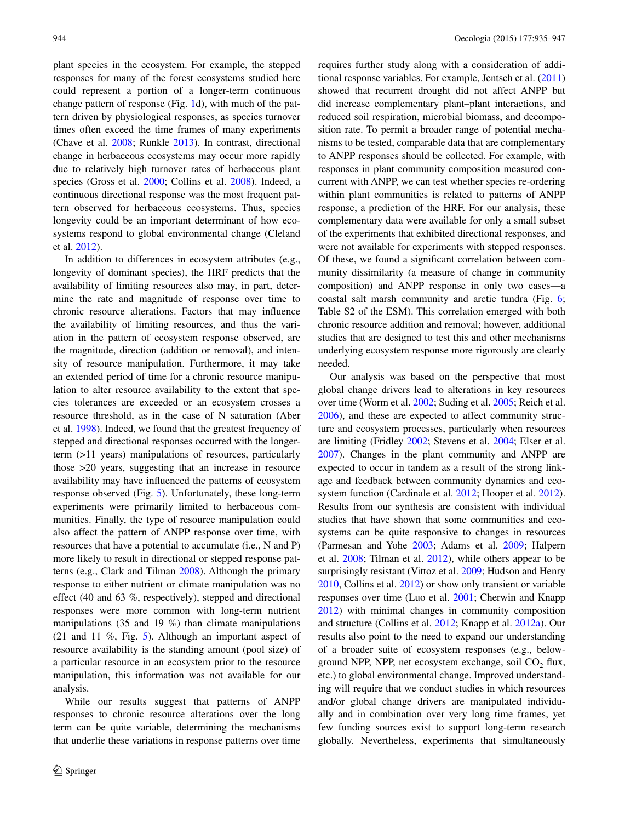plant species in the ecosystem. For example, the stepped responses for many of the forest ecosystems studied here could represent a portion of a longer-term continuous change pattern of response (Fig. [1](#page-1-0)d), with much of the pattern driven by physiological responses, as species turnover times often exceed the time frames of many experiments (Chave et al. [2008;](#page-10-13) Runkle [2013\)](#page-12-21). In contrast, directional change in herbaceous ecosystems may occur more rapidly due to relatively high turnover rates of herbaceous plant species (Gross et al. [2000](#page-11-26); Collins et al. [2008\)](#page-10-14). Indeed, a continuous directional response was the most frequent pattern observed for herbaceous ecosystems. Thus, species longevity could be an important determinant of how ecosystems respond to global environmental change (Cleland et al. [2012\)](#page-10-15).

In addition to differences in ecosystem attributes (e.g., longevity of dominant species), the HRF predicts that the availability of limiting resources also may, in part, determine the rate and magnitude of response over time to chronic resource alterations. Factors that may influence the availability of limiting resources, and thus the variation in the pattern of ecosystem response observed, are the magnitude, direction (addition or removal), and intensity of resource manipulation. Furthermore, it may take an extended period of time for a chronic resource manipulation to alter resource availability to the extent that species tolerances are exceeded or an ecosystem crosses a resource threshold, as in the case of N saturation (Aber et al. [1998\)](#page-10-3). Indeed, we found that the greatest frequency of stepped and directional responses occurred with the longerterm (>11 years) manipulations of resources, particularly those >20 years, suggesting that an increase in resource availability may have influenced the patterns of ecosystem response observed (Fig. [5\)](#page-7-0). Unfortunately, these long-term experiments were primarily limited to herbaceous communities. Finally, the type of resource manipulation could also affect the pattern of ANPP response over time, with resources that have a potential to accumulate (i.e., N and P) more likely to result in directional or stepped response patterns (e.g., Clark and Tilman [2008](#page-10-16)). Although the primary response to either nutrient or climate manipulation was no effect (40 and 63 %, respectively), stepped and directional responses were more common with long-term nutrient manipulations (35 and 19 %) than climate manipulations (21 and 11 %, Fig. [5](#page-7-0)). Although an important aspect of resource availability is the standing amount (pool size) of a particular resource in an ecosystem prior to the resource manipulation, this information was not available for our analysis.

While our results suggest that patterns of ANPP responses to chronic resource alterations over the long term can be quite variable, determining the mechanisms that underlie these variations in response patterns over time requires further study along with a consideration of additional response variables. For example, Jentsch et al. ([2011\)](#page-11-2) showed that recurrent drought did not affect ANPP but did increase complementary plant–plant interactions, and reduced soil respiration, microbial biomass, and decomposition rate. To permit a broader range of potential mechanisms to be tested, comparable data that are complementary to ANPP responses should be collected. For example, with responses in plant community composition measured concurrent with ANPP, we can test whether species re-ordering within plant communities is related to patterns of ANPP response, a prediction of the HRF. For our analysis, these complementary data were available for only a small subset of the experiments that exhibited directional responses, and were not available for experiments with stepped responses. Of these, we found a significant correlation between community dissimilarity (a measure of change in community composition) and ANPP response in only two cases—a coastal salt marsh community and arctic tundra (Fig. [6](#page-8-0); Table S2 of the ESM). This correlation emerged with both chronic resource addition and removal; however, additional studies that are designed to test this and other mechanisms underlying ecosystem response more rigorously are clearly needed.

Our analysis was based on the perspective that most global change drivers lead to alterations in key resources over time (Worm et al. [2002;](#page-12-12) Suding et al. [2005;](#page-12-14) Reich et al. [2006](#page-12-22)), and these are expected to affect community structure and ecosystem processes, particularly when resources are limiting (Fridley [2002;](#page-10-17) Stevens et al. [2004;](#page-12-23) Elser et al. [2007](#page-10-18)). Changes in the plant community and ANPP are expected to occur in tandem as a result of the strong linkage and feedback between community dynamics and ecosystem function (Cardinale et al. [2012;](#page-10-19) Hooper et al. [2012](#page-11-27)). Results from our synthesis are consistent with individual studies that have shown that some communities and ecosystems can be quite responsive to changes in resources (Parmesan and Yohe [2003](#page-11-28); Adams et al. [2009](#page-10-20); Halpern et al. [2008;](#page-11-29) Tilman et al. [2012](#page-12-24)), while others appear to be surprisingly resistant (Vittoz et al. [2009;](#page-12-19) Hudson and Henry [2010](#page-11-30), Collins et al. [2012](#page-10-7)) or show only transient or variable responses over time (Luo et al. [2001](#page-11-25); Cherwin and Knapp [2012](#page-10-21)) with minimal changes in community composition and structure (Collins et al. [2012](#page-10-7); Knapp et al. [2012a](#page-11-31)). Our results also point to the need to expand our understanding of a broader suite of ecosystem responses (e.g., belowground NPP, NPP, net ecosystem exchange, soil  $CO<sub>2</sub>$  flux, etc.) to global environmental change. Improved understanding will require that we conduct studies in which resources and/or global change drivers are manipulated individually and in combination over very long time frames, yet few funding sources exist to support long-term research globally. Nevertheless, experiments that simultaneously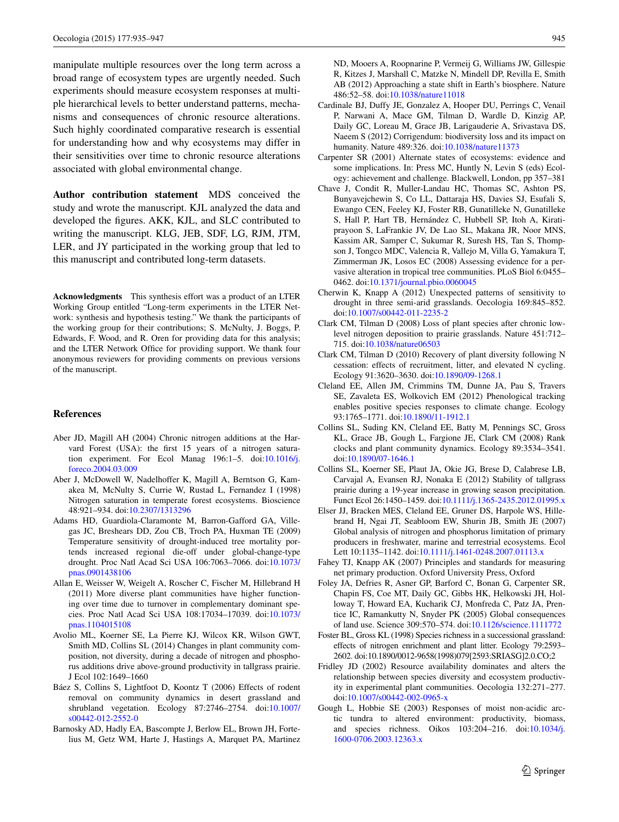manipulate multiple resources over the long term across a broad range of ecosystem types are urgently needed. Such experiments should measure ecosystem responses at multiple hierarchical levels to better understand patterns, mechanisms and consequences of chronic resource alterations. Such highly coordinated comparative research is essential for understanding how and why ecosystems may differ in their sensitivities over time to chronic resource alterations associated with global environmental change.

**Author contribution statement** MDS conceived the study and wrote the manuscript. KJL analyzed the data and developed the figures. AKK, KJL, and SLC contributed to writing the manuscript. KLG, JEB, SDF, LG, RJM, JTM, LER, and JY participated in the working group that led to this manuscript and contributed long-term datasets.

**Acknowledgments** This synthesis effort was a product of an LTER Working Group entitled "Long-term experiments in the LTER Network: synthesis and hypothesis testing." We thank the participants of the working group for their contributions; S. McNulty, J. Boggs, P. Edwards, F. Wood, and R. Oren for providing data for this analysis; and the LTER Network Office for providing support. We thank four anonymous reviewers for providing comments on previous versions of the manuscript.

# **References**

- <span id="page-10-5"></span>Aber JD, Magill AH (2004) Chronic nitrogen additions at the Harvard Forest (USA): the first 15 years of a nitrogen saturation experiment. For Ecol Manag 196:1–5. doi:[10.1016/j.](http://dx.doi.org/10.1016/j.foreco.2004.03.009) [foreco.2004.03.009](http://dx.doi.org/10.1016/j.foreco.2004.03.009)
- <span id="page-10-3"></span>Aber J, McDowell W, Nadelhoffer K, Magill A, Berntson G, Kamakea M, McNulty S, Currie W, Rustad L, Fernandez I (1998) Nitrogen saturation in temperate forest ecosystems. Bioscience 48:921–934. doi[:10.2307/1313296](http://dx.doi.org/10.2307/1313296)
- <span id="page-10-20"></span>Adams HD, Guardiola-Claramonte M, Barron-Gafford GA, Villegas JC, Breshears DD, Zou CB, Troch PA, Huxman TE (2009) Temperature sensitivity of drought-induced tree mortality portends increased regional die-off under global-change-type drought. Proc Natl Acad Sci USA 106:7063–7066. doi[:10.1073/](http://dx.doi.org/10.1073/pnas.0901438106) [pnas.0901438106](http://dx.doi.org/10.1073/pnas.0901438106)
- <span id="page-10-1"></span>Allan E, Weisser W, Weigelt A, Roscher C, Fischer M, Hillebrand H (2011) More diverse plant communities have higher functioning over time due to turnover in complementary dominant species. Proc Natl Acad Sci USA 108:17034–17039. doi[:10.1073/](http://dx.doi.org/10.1073/pnas.1104015108) [pnas.1104015108](http://dx.doi.org/10.1073/pnas.1104015108)
- <span id="page-10-8"></span>Avolio ML, Koerner SE, La Pierre KJ, Wilcox KR, Wilson GWT, Smith MD, Collins SL (2014) Changes in plant community composition, not diversity, during a decade of nitrogen and phosphorus additions drive above-ground productivity in tallgrass prairie. J Ecol 102:1649–1660
- <span id="page-10-9"></span>Báez S, Collins S, Lightfoot D, Koontz T (2006) Effects of rodent removal on community dynamics in desert grassland and shrubland vegetation. Ecology 87:2746–2754. doi[:10.1007/](http://dx.doi.org/10.1007/s00442-012-2552-0) [s00442-012-2552-0](http://dx.doi.org/10.1007/s00442-012-2552-0)
- <span id="page-10-11"></span>Barnosky AD, Hadly EA, Bascompte J, Berlow EL, Brown JH, Fortelius M, Getz WM, Harte J, Hastings A, Marquet PA, Martinez

ND, Mooers A, Roopnarine P, Vermeij G, Williams JW, Gillespie R, Kitzes J, Marshall C, Matzke N, Mindell DP, Revilla E, Smith AB (2012) Approaching a state shift in Earth's biosphere. Nature 486:52–58. doi:[10.1038/nature11018](http://dx.doi.org/10.1038/nature11018)

- <span id="page-10-19"></span>Cardinale BJ, Duffy JE, Gonzalez A, Hooper DU, Perrings C, Venail P, Narwani A, Mace GM, Tilman D, Wardle D, Kinzig AP, Daily GC, Loreau M, Grace JB, Larigauderie A, Srivastava DS, Naeem S (2012) Corrigendum: biodiversity loss and its impact on humanity. Nature 489:326. doi:[10.1038/nature11373](http://dx.doi.org/10.1038/nature11373)
- <span id="page-10-10"></span>Carpenter SR (2001) Alternate states of ecosystems: evidence and some implications. In: Press MC, Huntly N, Levin S (eds) Ecology: achievement and challenge. Blackwell, London, pp 357–381
- <span id="page-10-13"></span>Chave J, Condit R, Muller-Landau HC, Thomas SC, Ashton PS, Bunyavejchewin S, Co LL, Dattaraja HS, Davies SJ, Esufali S, Ewango CEN, Feeley KJ, Foster RB, Gunatilleke N, Gunatilleke S, Hall P, Hart TB, Hernández C, Hubbell SP, Itoh A, Kiratiprayoon S, LaFrankie JV, De Lao SL, Makana JR, Noor MNS, Kassim AR, Samper C, Sukumar R, Suresh HS, Tan S, Thompson J, Tongco MDC, Valencia R, Vallejo M, Villa G, Yamakura T, Zimmerman JK, Losos EC (2008) Assessing evidence for a pervasive alteration in tropical tree communities. PLoS Biol 6:0455– 0462. doi:[10.1371/journal.pbio.0060045](http://dx.doi.org/10.1371/journal.pbio.0060045)
- <span id="page-10-21"></span>Cherwin K, Knapp A (2012) Unexpected patterns of sensitivity to drought in three semi-arid grasslands. Oecologia 169:845–852. doi[:10.1007/s00442-011-2235-2](http://dx.doi.org/10.1007/s00442-011-2235-2)
- <span id="page-10-16"></span>Clark CM, Tilman D (2008) Loss of plant species after chronic lowlevel nitrogen deposition to prairie grasslands. Nature 451:712– 715. doi[:10.1038/nature06503](http://dx.doi.org/10.1038/nature06503)
- <span id="page-10-12"></span>Clark CM, Tilman D (2010) Recovery of plant diversity following N cessation: effects of recruitment, litter, and elevated N cycling. Ecology 91:3620–3630. doi[:10.1890/09-1268.1](http://dx.doi.org/10.1890/09-1268.1)
- <span id="page-10-15"></span>Cleland EE, Allen JM, Crimmins TM, Dunne JA, Pau S, Travers SE, Zavaleta ES, Wolkovich EM (2012) Phenological tracking enables positive species responses to climate change. Ecology 93:1765–1771. doi:[10.1890/11-1912.1](http://dx.doi.org/10.1890/11-1912.1)
- <span id="page-10-14"></span>Collins SL, Suding KN, Cleland EE, Batty M, Pennings SC, Gross KL, Grace JB, Gough L, Fargione JE, Clark CM (2008) Rank clocks and plant community dynamics. Ecology 89:3534–3541. doi[:10.1890/07-1646.1](http://dx.doi.org/10.1890/07-1646.1)
- <span id="page-10-7"></span>Collins SL, Koerner SE, Plaut JA, Okie JG, Brese D, Calabrese LB, Carvajal A, Evansen RJ, Nonaka E (2012) Stability of tallgrass prairie during a 19-year increase in growing season precipitation. Funct Ecol 26:1450–1459. doi[:10.1111/j.1365-2435.2012.01995.x](http://dx.doi.org/10.1111/j.1365-2435.2012.01995.x)
- <span id="page-10-18"></span>Elser JJ, Bracken MES, Cleland EE, Gruner DS, Harpole WS, Hillebrand H, Ngai JT, Seabloom EW, Shurin JB, Smith JE (2007) Global analysis of nitrogen and phosphorus limitation of primary producers in freshwater, marine and terrestrial ecosystems. Ecol Lett 10:1135–1142. doi:[10.1111/j.1461-0248.2007.01113.x](http://dx.doi.org/10.1111/j.1461-0248.2007.01113.x)
- <span id="page-10-2"></span>Fahey TJ, Knapp AK (2007) Principles and standards for measuring net primary production. Oxford University Press, Oxford
- <span id="page-10-0"></span>Foley JA, Defries R, Asner GP, Barford C, Bonan G, Carpenter SR, Chapin FS, Coe MT, Daily GC, Gibbs HK, Helkowski JH, Holloway T, Howard EA, Kucharik CJ, Monfreda C, Patz JA, Prentice IC, Ramankutty N, Snyder PK (2005) Global consequences of land use. Science 309:570–574. doi:[10.1126/science.1111772](http://dx.doi.org/10.1126/science.1111772)
- <span id="page-10-6"></span>Foster BL, Gross KL (1998) Species richness in a successional grassland: effects of nitrogen enrichment and plant litter. Ecology 79:2593– 2602. doi:10.1890/0012-9658(1998)079[2593:SRIASG]2.0.CO;2
- <span id="page-10-17"></span>Fridley JD (2002) Resource availability dominates and alters the relationship between species diversity and ecosystem productivity in experimental plant communities. Oecologia 132:271–277. doi[:10.1007/s00442-002-0965-x](http://dx.doi.org/10.1007/s00442-002-0965-x)
- <span id="page-10-4"></span>Gough L, Hobbie SE (2003) Responses of moist non-acidic arctic tundra to altered environment: productivity, biomass, and species richness. Oikos 103:204–216. doi:[10.1034/j.](http://dx.doi.org/10.1034/j.1600-0706.2003.12363.x) [1600-0706.2003.12363.x](http://dx.doi.org/10.1034/j.1600-0706.2003.12363.x)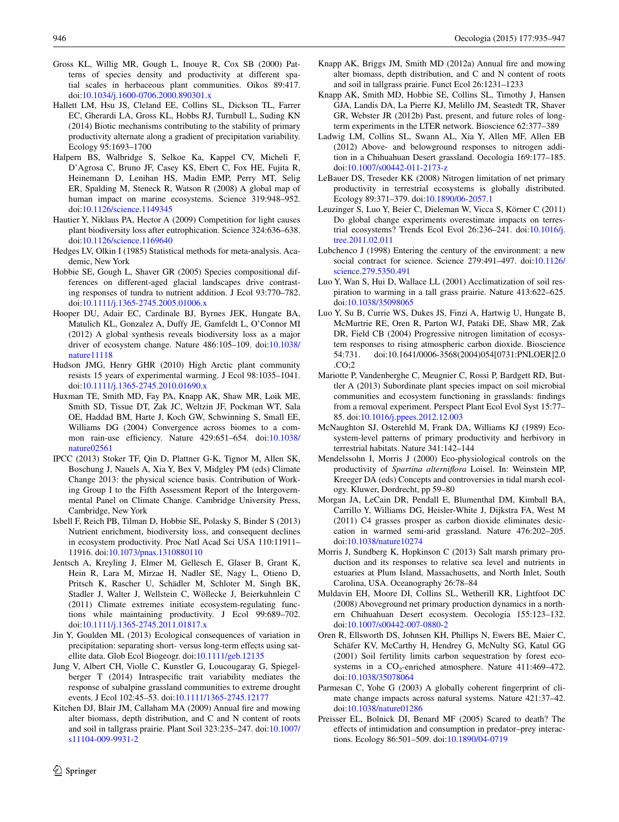- <span id="page-11-26"></span>Gross KL, Willig MR, Gough L, Inouye R, Cox SB (2000) Patterns of species density and productivity at different spatial scales in herbaceous plant communities. Oikos 89:417. doi[:10.1034/j.1600-0706.2000.890301.x](http://dx.doi.org/10.1034/j.1600-0706.2000.890301.x)
- <span id="page-11-13"></span>Hallett LM, Hsu JS, Cleland EE, Collins SL, Dickson TL, Farrer EC, Gherardi LA, Gross KL, Hobbs RJ, Turnbull L, Suding KN (2014) Biotic mechanisms contributing to the stability of primary productivity alternate along a gradient of precipitation variability. Ecology 95:1693–1700
- <span id="page-11-29"></span>Halpern BS, Walbridge S, Selkoe Ka, Kappel CV, Micheli F, D'Agrosa C, Bruno JF, Casey KS, Ebert C, Fox HE, Fujita R, Heinemann D, Lenihan HS, Madin EMP, Perry MT, Selig ER, Spalding M, Steneck R, Watson R (2008) A global map of human impact on marine ecosystems. Science 319:948–952. doi[:10.1126/science.1149345](http://dx.doi.org/10.1126/science.1149345)
- <span id="page-11-5"></span>Hautier Y, Niklaus PA, Hector A (2009) Competition for light causes plant biodiversity loss after eutrophication. Science 324:636–638. doi[:10.1126/science.1169640](http://dx.doi.org/10.1126/science.1169640)
- <span id="page-11-23"></span>Hedges LV, Olkin I (1985) Statistical methods for meta-analysis. Academic, New York
- <span id="page-11-19"></span>Hobbie SE, Gough L, Shaver GR (2005) Species compositional differences on different-aged glacial landscapes drive contrasting responses of tundra to nutrient addition. J Ecol 93:770–782. doi[:10.1111/j.1365-2745.2005.01006.x](http://dx.doi.org/10.1111/j.1365-2745.2005.01006.x)
- <span id="page-11-27"></span>Hooper DU, Adair EC, Cardinale BJ, Byrnes JEK, Hungate BA, Matulich KL, Gonzalez A, Duffy JE, Gamfeldt L, O'Connor MI (2012) A global synthesis reveals biodiversity loss as a major driver of ecosystem change. Nature 486:105–109. doi[:10.1038/](http://dx.doi.org/10.1038/nature11118) [nature11118](http://dx.doi.org/10.1038/nature11118)
- <span id="page-11-30"></span>Hudson JMG, Henry GHR (2010) High Arctic plant community resists 15 years of experimental warming. J Ecol 98:1035–1041. doi[:10.1111/j.1365-2745.2010.01690.x](http://dx.doi.org/10.1111/j.1365-2745.2010.01690.x)
- <span id="page-11-7"></span>Huxman TE, Smith MD, Fay PA, Knapp AK, Shaw MR, Loik ME, Smith SD, Tissue DT, Zak JC, Weltzin JF, Pockman WT, Sala OE, Haddad BM, Harte J, Koch GW, Schwinning S, Small EE, Williams DG (2004) Convergence across biomes to a common rain-use efficiency. Nature 429:651–654. doi[:10.1038/](http://dx.doi.org/10.1038/nature02561) [nature02561](http://dx.doi.org/10.1038/nature02561)
- <span id="page-11-1"></span>IPCC (2013) Stoker TF, Qin D, Plattner G-K, Tignor M, Allen SK, Boschung J, Nauels A, Xia Y, Bex V, Midgley PM (eds) Climate Change 2013: the physical science basis. Contribution of Working Group I to the Fifth Assessment Report of the Intergovernmental Panel on Climate Change. Cambridge University Press, Cambridge, New York
- <span id="page-11-6"></span>Isbell F, Reich PB, Tilman D, Hobbie SE, Polasky S, Binder S (2013) Nutrient enrichment, biodiversity loss, and consequent declines in ecosystem productivity. Proc Natl Acad Sci USA 110:11911– 11916. doi:[10.1073/pnas.1310880110](http://dx.doi.org/10.1073/pnas.1310880110)
- <span id="page-11-2"></span>Jentsch A, Kreyling J, Elmer M, Gellesch E, Glaser B, Grant K, Hein R, Lara M, Mirzae H, Nadler SE, Nagy L, Otieno D, Pritsch K, Rascher U, Schädler M, Schloter M, Singh BK, Stadler J, Walter J, Wellstein C, Wöllecke J, Beierkuhnlein C (2011) Climate extremes initiate ecosystem-regulating functions while maintaining productivity. J Ecol 99:689–702. doi[:10.1111/j.1365-2745.2011.01817.x](http://dx.doi.org/10.1111/j.1365-2745.2011.01817.x)
- <span id="page-11-3"></span>Jin Y, Goulden ML (2013) Ecological consequences of variation in precipitation: separating short- versus long-term effects using satellite data. Glob Ecol Biogeogr. doi[:10.1111/geb.12135](http://dx.doi.org/10.1111/geb.12135)
- <span id="page-11-15"></span>Jung V, Albert CH, Violle C, Kunstler G, Loucougaray G, Spiegelberger T (2014) Intraspecific trait variability mediates the response of subalpine grassland communities to extreme drought events. J Ecol 102:45–53. doi:[10.1111/1365-2745.12177](http://dx.doi.org/10.1111/1365-2745.12177)
- <span id="page-11-21"></span>Kitchen DJ, Blair JM, Callaham MA (2009) Annual fire and mowing alter biomass, depth distribution, and C and N content of roots and soil in tallgrass prairie. Plant Soil 323:235–247. doi[:10.1007/](http://dx.doi.org/10.1007/s11104-009-9931-2) [s11104-009-9931-2](http://dx.doi.org/10.1007/s11104-009-9931-2)
- <span id="page-11-31"></span>Knapp AK, Briggs JM, Smith MD (2012a) Annual fire and mowing alter biomass, depth distribution, and C and N content of roots and soil in tallgrass prairie. Funct Ecol 26:1231–1233
- <span id="page-11-16"></span>Knapp AK, Smith MD, Hobbie SE, Collins SL, Timothy J, Hansen GJA, Landis DA, La Pierre KJ, Melillo JM, Seastedt TR, Shaver GR, Webster JR (2012b) Past, present, and future roles of longterm experiments in the LTER network. Bioscience 62:377–389
- <span id="page-11-9"></span>Ladwig LM, Collins SL, Swann AL, Xia Y, Allen MF, Allen EB (2012) Above- and belowground responses to nitrogen addition in a Chihuahuan Desert grassland. Oecologia 169:177–185. doi[:10.1007/s00442-011-2173-z](http://dx.doi.org/10.1007/s00442-011-2173-z)
- <span id="page-11-10"></span>LeBauer DS, Treseder KK (2008) Nitrogen limitation of net primary productivity in terrestrial ecosystems is globally distributed. Ecology 89:371–379. doi:[10.1890/06-2057.1](http://dx.doi.org/10.1890/06-2057.1)
- <span id="page-11-11"></span>Leuzinger S, Luo Y, Beier C, Dieleman W, Vicca S, Körner C (2011) Do global change experiments overestimate impacts on terrestrial ecosystems? Trends Ecol Evol 26:236–241. doi:[10.1016/j.](http://dx.doi.org/10.1016/j.tree.2011.02.011) [tree.2011.02.011](http://dx.doi.org/10.1016/j.tree.2011.02.011)
- <span id="page-11-0"></span>Lubchenco J (1998) Entering the century of the environment: a new social contract for science. Science 279:491–497. doi[:10.1126/](http://dx.doi.org/10.1126/science.279.5350.491) [science.279.5350.491](http://dx.doi.org/10.1126/science.279.5350.491)
- <span id="page-11-25"></span>Luo Y, Wan S, Hui D, Wallace LL (2001) Acclimatization of soil respiration to warming in a tall grass prairie. Nature 413:622–625. doi[:10.1038/35098065](http://dx.doi.org/10.1038/35098065)
- <span id="page-11-8"></span>Luo Y, Su B, Currie WS, Dukes JS, Finzi A, Hartwig U, Hungate B, McMurtrie RE, Oren R, Parton WJ, Pataki DE, Shaw MR, Zak DR, Field CB (2004) Progressive nitrogen limitation of ecosystem responses to rising atmospheric carbon dioxide. Bioscience 54:731. doi:10.1641/0006-3568(2004)054[0731:PNLOER]2.0 .CO;2
- <span id="page-11-14"></span>Mariotte P, Vandenberghe C, Meugnier C, Rossi P, Bardgett RD, Buttler A (2013) Subordinate plant species impact on soil microbial communities and ecosystem functioning in grasslands: findings from a removal experiment. Perspect Plant Ecol Evol Syst 15:77– 85. doi[:10.1016/j.ppees.2012.12.003](http://dx.doi.org/10.1016/j.ppees.2012.12.003)
- <span id="page-11-17"></span>McNaughton SJ, Osterehld M, Frank DA, Williams KJ (1989) Ecosystem-level patterns of primary productivity and herbivory in terrestrial habitats. Nature 341:142–144
- <span id="page-11-4"></span>Mendelssohn I, Morris J (2000) Eco-physiological controls on the productivity of *Spartina alterniflora* Loisel. In: Weinstein MP, Kreeger DA (eds) Concepts and controversies in tidal marsh ecology. Kluwer, Dordrecht, pp 59–80
- <span id="page-11-12"></span>Morgan JA, LeCain DR, Pendall E, Blumenthal DM, Kimball BA, Carrillo Y, Williams DG, Heisler-White J, Dijkstra FA, West M (2011) C4 grasses prosper as carbon dioxide eliminates desiccation in warmed semi-arid grassland. Nature 476:202–205. doi[:10.1038/nature10274](http://dx.doi.org/10.1038/nature10274)
- <span id="page-11-22"></span>Morris J, Sundberg K, Hopkinson C (2013) Salt marsh primary production and its responses to relative sea level and nutrients in estuaries at Plum Island, Massachusetts, and North Inlet, South Carolina, USA. Oceanography 26:78–84
- <span id="page-11-18"></span>Muldavin EH, Moore DI, Collins SL, Wetherill KR, Lightfoot DC (2008) Aboveground net primary production dynamics in a northern Chihuahuan Desert ecosystem. Oecologia 155:123–132. doi[:10.1007/s00442-007-0880-2](http://dx.doi.org/10.1007/s00442-007-0880-2)
- <span id="page-11-20"></span>Oren R, Ellsworth DS, Johnsen KH, Phillips N, Ewers BE, Maier C, Schäfer KV, McCarthy H, Hendrey G, McNulty SG, Katul GG (2001) Soil fertility limits carbon sequestration by forest ecosystems in a  $CO_2$ -enriched atmosphere. Nature 411:469-472. doi[:10.1038/35078064](http://dx.doi.org/10.1038/35078064)
- <span id="page-11-28"></span>Parmesan C, Yohe G (2003) A globally coherent fingerprint of climate change impacts across natural systems. Nature 421:37–42. doi[:10.1038/nature01286](http://dx.doi.org/10.1038/nature01286)
- <span id="page-11-24"></span>Preisser EL, Bolnick DI, Benard MF (2005) Scared to death? The effects of intimidation and consumption in predator–prey interactions. Ecology 86:501–509. doi[:10.1890/04-0719](http://dx.doi.org/10.1890/04-0719)